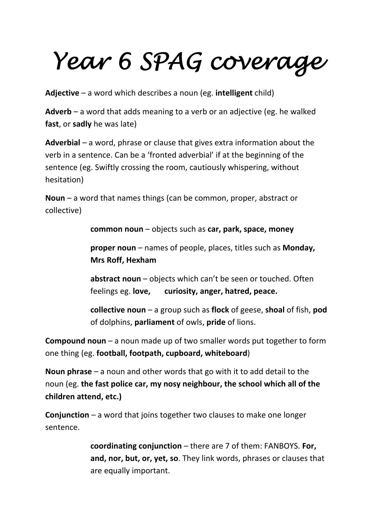## *Year 6 SPAG coverage*

**Adjective** – a word which describes a noun (eg. **intelligent** child)

**Adverb** – a word that adds meaning to a verb or an adjective (eg. he walked **fast**, or **sadly** he was late)

**Adverbial** – a word, phrase or clause that gives extra information about the verb in a sentence. Can be a 'fronted adverbial' if at the beginning of the sentence (eg. Swiftly crossing the room, cautiously whispering, without hesitation)

**Noun** – a word that names things (can be common, proper, abstract or collective)

**common noun** – objects such as **car, park, space, money**

**proper noun** – names of people, places, titles such as **Monday, Mrs Roff, Hexham**

**abstract noun** – objects which can't be seen or touched. Often feelings eg. **love, curiosity, anger, hatred, peace.**

**collective noun** – a group such as **flock** of geese, **shoal** of fish, **pod** of dolphins, **parliament** of owls, **pride** of lions.

**Compound noun** – a noun made up of two smaller words put together to form one thing (eg. **football, footpath, cupboard, whiteboard**)

**Noun phrase** – a noun and other words that go with it to add detail to the noun (eg. **the fast police car, my nosy neighbour, the school which all of the children attend, etc.)**

**Conjunction** – a word that joins together two clauses to make one longer sentence.

> **coordinating conjunction** – there are 7 of them: FANBOYS. **For, and, nor, but, or, yet, so**. They link words, phrases or clauses that are equally important.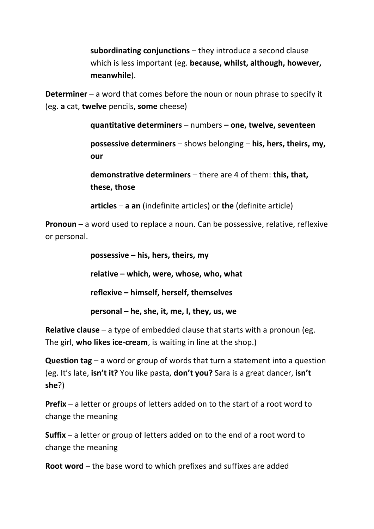**subordinating conjunctions** – they introduce a second clause which is less important (eg. **because, whilst, although, however, meanwhile**).

**Determiner** – a word that comes before the noun or noun phrase to specify it (eg. **a** cat, **twelve** pencils, **some** cheese)

**quantitative determiners** – numbers **– one, twelve, seventeen**

**possessive determiners** – shows belonging – **his, hers, theirs, my, our**

**demonstrative determiners** – there are 4 of them: **this, that, these, those**

**articles** – **a an** (indefinite articles) or **the** (definite article)

**Pronoun** – a word used to replace a noun. Can be possessive, relative, reflexive or personal.

> **possessive – his, hers, theirs, my relative – which, were, whose, who, what reflexive – himself, herself, themselves personal – he, she, it, me, I, they, us, we**

**Relative clause** – a type of embedded clause that starts with a pronoun (eg. The girl, **who likes ice‐cream**, is waiting in line at the shop.)

**Question tag** – a word or group of words that turn a statement into a question (eg. It's late, **isn't it?** You like pasta, **don't you?** Sara is a great dancer, **isn't she**?)

**Prefix** – a letter or groups of letters added on to the start of a root word to change the meaning

**Suffix** – a letter or group of letters added on to the end of a root word to change the meaning

**Root word** – the base word to which prefixes and suffixes are added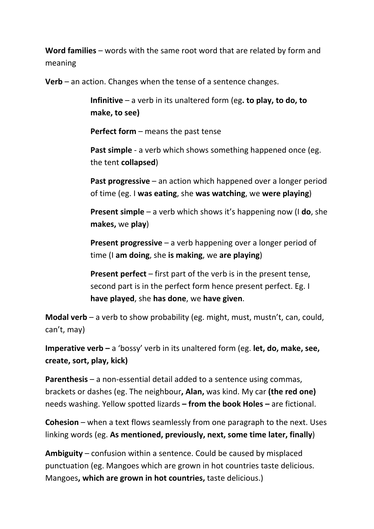**Word families** – words with the same root word that are related by form and meaning

**Verb** – an action. Changes when the tense of a sentence changes.

**Infinitive** – a verb in its unaltered form (eg**. to play, to do, to make, to see)**

**Perfect form** – means the past tense

**Past simple** - a verb which shows something happened once (eg. the tent **collapsed**)

**Past progressive** – an action which happened over a longer period of time (eg. I **was eating**, she **was watching**, we **were playing**)

**Present simple** – a verb which shows it's happening now (I **do**, she **makes,** we **play**)

**Present progressive** – a verb happening over a longer period of time (I **am doing**, she **is making**, we **are playing**)

**Present perfect** – first part of the verb is in the present tense, second part is in the perfect form hence present perfect. Eg. I **have played**, she **has done**, we **have given**.

**Modal verb** – a verb to show probability (eg. might, must, mustn't, can, could, can't, may)

**Imperative verb –** a 'bossy' verb in its unaltered form (eg. **let, do, make, see, create, sort, play, kick)**

**Parenthesis** – a non-essential detail added to a sentence using commas, brackets or dashes (eg. The neighbour**, Alan,** was kind. My car **(the red one)** needs washing. Yellow spotted lizards **– from the book Holes –** are fictional.

**Cohesion** – when a text flows seamlessly from one paragraph to the next. Uses linking words (eg. **As mentioned, previously, next, some time later, finally**)

**Ambiguity** – confusion within a sentence. Could be caused by misplaced punctuation (eg. Mangoes which are grown in hot countries taste delicious. Mangoes**, which are grown in hot countries,** taste delicious.)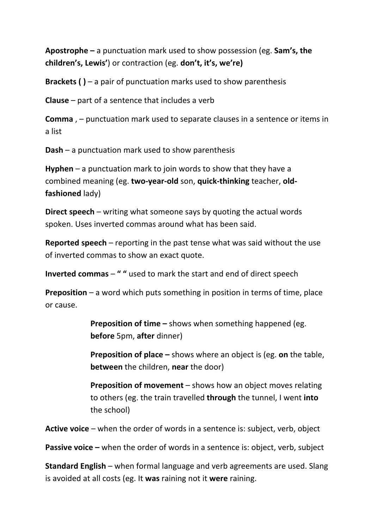**Apostrophe –** a punctuation mark used to show possession (eg. **Sam's, the children's, Lewis'**) or contraction (eg. **don't, it's, we're)**

**Brackets ( )** – a pair of punctuation marks used to show parenthesis

**Clause** – part of a sentence that includes a verb

**Comma** , – punctuation mark used to separate clauses in a sentence or items in a list

**Dash** – a punctuation mark used to show parenthesis

**Hyphen** – a punctuation mark to join words to show that they have a combined meaning (eg. **two‐year‐old** son, **quick‐thinking** teacher, **old‐ fashioned** lady)

**Direct speech** – writing what someone says by quoting the actual words spoken. Uses inverted commas around what has been said.

**Reported speech** – reporting in the past tense what was said without the use of inverted commas to show an exact quote.

**Inverted commas** – **" "** used to mark the start and end of direct speech

**Preposition** – a word which puts something in position in terms of time, place or cause.

> **Preposition of time –** shows when something happened (eg. **before** 5pm, **after** dinner)

**Preposition of place –** shows where an object is (eg. **on** the table, **between** the children, **near** the door)

**Preposition of movement** – shows how an object moves relating to others (eg. the train travelled **through** the tunnel, I went **into** the school)

**Active voice** – when the order of words in a sentence is: subject, verb, object

**Passive voice –** when the order of words in a sentence is: object, verb, subject

**Standard English** – when formal language and verb agreements are used. Slang is avoided at all costs (eg. It **was** raining not it **were** raining.